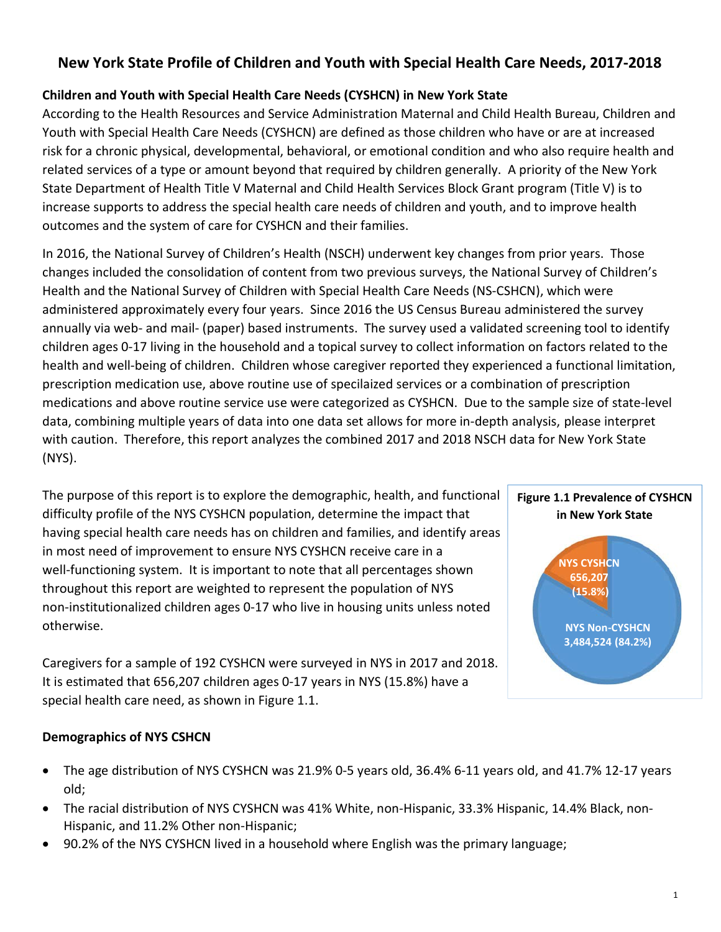# New York State Profile of Children and Youth with Special Health Care Needs, 2017-2018

# Children and Youth with Special Health Care Needs (CYSHCN) in New York State

According to the Health Resources and Service Administration Maternal and Child Health Bureau, Children and Youth with Special Health Care Needs (CYSHCN) are defined as those children who have or are at increased risk for a chronic physical, developmental, behavioral, or emotional condition and who also require health and related services of a type or amount beyond that required by children generally. A priority of the New York State Department of Health Title V Maternal and Child Health Services Block Grant program (Title V) is to increase supports to address the special health care needs of children and youth, and to improve health outcomes and the system of care for CYSHCN and their families.

In 2016, the National Survey of Children's Health (NSCH) underwent key changes from prior years. Those changes included the consolidation of content from two previous surveys, the National Survey of Children's Health and the National Survey of Children with Special Health Care Needs (NS-CSHCN), which were administered approximately every four years. Since 2016 the US Census Bureau administered the survey annually via web- and mail- (paper) based instruments. The survey used a validated screening tool to identify children ages 0-17 living in the household and a topical survey to collect information on factors related to the health and well-being of children. Children whose caregiver reported they experienced a functional limitation, prescription medication use, above routine use of specilaized services or a combination of prescription medications and above routine service use were categorized as CYSHCN. Due to the sample size of state-level data, combining multiple years of data into one data set allows for more in-depth analysis, please interpret with caution. Therefore, this report analyzes the combined 2017 and 2018 NSCH data for New York State (NYS).

The purpose of this report is to explore the demographic, health, and functional difficulty profile of the NYS CYSHCN population, determine the impact that having special health care needs has on children and families, and identify areas in most need of improvement to ensure NYS CYSHCN receive care in a well-functioning system. It is important to note that all percentages shown throughout this report are weighted to represent the population of NYS non-institutionalized children ages 0-17 who live in housing units unless noted otherwise.

Caregivers for a sample of 192 CYSHCN were surveyed in NYS in 2017 and 2018. It is estimated that 656,207 children ages 0-17 years in NYS (15.8%) have a special health care need, as shown in Figure 1.1.

# Figure 1.1 Prevalence of CYSHCN in New York State NYS Non-CYSHCN 3,484,524 (84.2%) NYS CYSHCN 656,207 (15.8%)

# Demographics of NYS CSHCN

- The age distribution of NYS CYSHCN was 21.9% 0-5 years old, 36.4% 6-11 years old, and 41.7% 12-17 years old;
- The racial distribution of NYS CYSHCN was 41% White, non-Hispanic, 33.3% Hispanic, 14.4% Black, non-Hispanic, and 11.2% Other non-Hispanic;
- 90.2% of the NYS CYSHCN lived in a household where English was the primary language;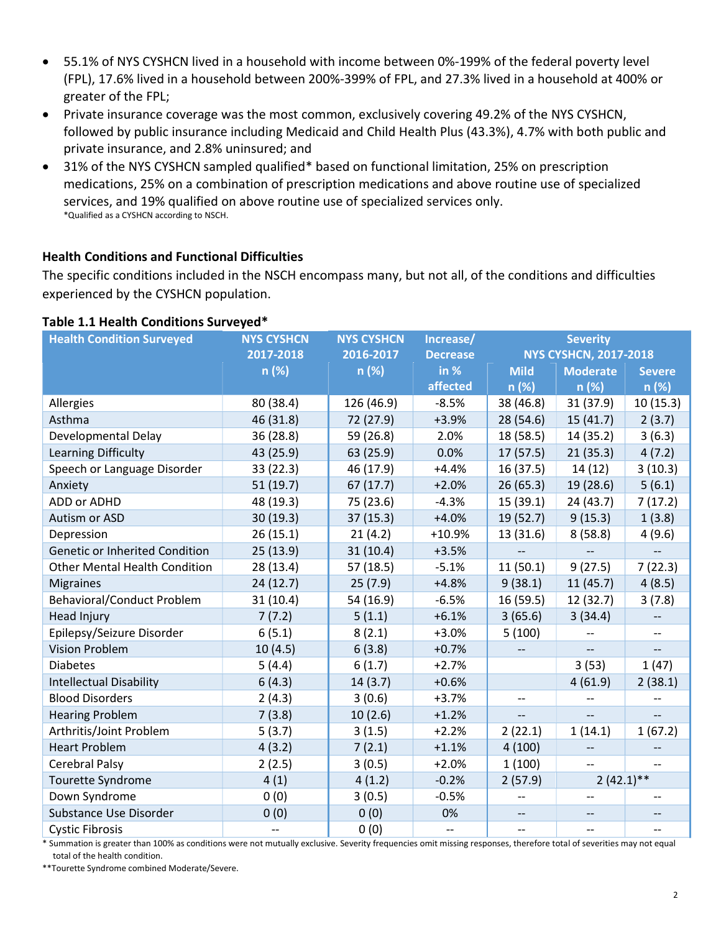- 55.1% of NYS CYSHCN lived in a household with income between 0%-199% of the federal poverty level (FPL), 17.6% lived in a household between 200%-399% of FPL, and 27.3% lived in a household at 400% or greater of the FPL;
- Private insurance coverage was the most common, exclusively covering 49.2% of the NYS CYSHCN, followed by public insurance including Medicaid and Child Health Plus (43.3%), 4.7% with both public and private insurance, and 2.8% uninsured; and
- 31% of the NYS CYSHCN sampled qualified\* based on functional limitation, 25% on prescription medications, 25% on a combination of prescription medications and above routine use of specialized services, and 19% qualified on above routine use of specialized services only. \*Qualified as a CYSHCN according to NSCH.

## Health Conditions and Functional Difficulties

The specific conditions included in the NSCH encompass many, but not all, of the conditions and difficulties experienced by the CYSHCN population.

#### Table 1.1 Health Conditions Surveyed\*

| <b>Health Condition Surveyed</b>     | <b>NYS CYSHCN</b> | <b>NYS CYSHCN</b> | Increase/       | <b>Severity</b>              |                 |                          |
|--------------------------------------|-------------------|-------------------|-----------------|------------------------------|-----------------|--------------------------|
|                                      | 2017-2018         | 2016-2017         | <b>Decrease</b> | <b>NYS CYSHCN, 2017-2018</b> |                 |                          |
|                                      | n(%)              | n (%)             | in %            | <b>Mild</b>                  | <b>Moderate</b> | <b>Severe</b>            |
|                                      |                   |                   | affected        | n (%)                        | n (%)           | n (%)                    |
| Allergies                            | 80 (38.4)         | 126 (46.9)        | $-8.5%$         | 38 (46.8)                    | 31(37.9)        | 10(15.3)                 |
| Asthma                               | 46 (31.8)         | 72 (27.9)         | $+3.9%$         | 28 (54.6)                    | 15(41.7)        | 2(3.7)                   |
| Developmental Delay                  | 36 (28.8)         | 59 (26.8)         | 2.0%            | 18 (58.5)                    | 14 (35.2)       | 3(6.3)                   |
| Learning Difficulty                  | 43 (25.9)         | 63 (25.9)         | 0.0%            | 17(57.5)                     | 21(35.3)        | 4(7.2)                   |
| Speech or Language Disorder          | 33 (22.3)         | 46 (17.9)         | $+4.4%$         | 16(37.5)                     | 14(12)          | 3(10.3)                  |
| Anxiety                              | 51(19.7)          | 67(17.7)          | $+2.0%$         | 26(65.3)                     | 19 (28.6)       | 5(6.1)                   |
| ADD or ADHD                          | 48 (19.3)         | 75 (23.6)         | $-4.3%$         | 15(39.1)                     | 24(43.7)        | 7(17.2)                  |
| Autism or ASD                        | 30 (19.3)         | 37 (15.3)         | $+4.0%$         | 19(52.7)                     | 9(15.3)         | 1(3.8)                   |
| Depression                           | 26(15.1)          | 21(4.2)           | $+10.9%$        | 13 (31.6)                    | 8(58.8)         | 4(9.6)                   |
| Genetic or Inherited Condition       | 25 (13.9)         | 31(10.4)          | $+3.5%$         |                              |                 |                          |
| <b>Other Mental Health Condition</b> | 28 (13.4)         | 57(18.5)          | $-5.1%$         | 11(50.1)                     | 9(27.5)         | 7(22.3)                  |
| <b>Migraines</b>                     | 24(12.7)          | 25(7.9)           | $+4.8%$         | 9(38.1)                      | 11(45.7)        | 4(8.5)                   |
| <b>Behavioral/Conduct Problem</b>    | 31(10.4)          | 54 (16.9)         | $-6.5%$         | 16(59.5)                     | 12 (32.7)       | 3(7.8)                   |
| <b>Head Injury</b>                   | 7(7.2)            | 5(1.1)            | $+6.1%$         | 3(65.6)                      | 3(34.4)         | $\overline{\phantom{a}}$ |
| Epilepsy/Seizure Disorder            | 6(5.1)            | 8(2.1)            | $+3.0%$         | 5(100)                       |                 | $-$                      |
| <b>Vision Problem</b>                | 10(4.5)           | 6(3.8)            | $+0.7%$         |                              |                 |                          |
| <b>Diabetes</b>                      | 5(4.4)            | 6(1.7)            | $+2.7%$         |                              | 3(53)           | 1(47)                    |
| <b>Intellectual Disability</b>       | 6(4.3)            | 14(3.7)           | $+0.6%$         |                              | 4(61.9)         | 2(38.1)                  |
| <b>Blood Disorders</b>               | 2(4.3)            | 3(0.6)            | $+3.7%$         | $-$                          |                 |                          |
| <b>Hearing Problem</b>               | 7(3.8)            | 10(2.6)           | $+1.2%$         |                              |                 |                          |
| Arthritis/Joint Problem              | 5(3.7)            | 3(1.5)            | $+2.2%$         | 2(22.1)                      | 1(14.1)         | 1(67.2)                  |
| <b>Heart Problem</b>                 | 4(3.2)            | 7(2.1)            | $+1.1%$         | 4(100)                       | $-$             |                          |
| Cerebral Palsy                       | 2(2.5)            | 3(0.5)            | $+2.0%$         | 1(100)                       | $-$             | $-$                      |
| Tourette Syndrome                    | 4(1)              | 4(1.2)            | $-0.2%$         | 2(57.9)                      | $2(42.1)$ **    |                          |
| Down Syndrome                        | 0(0)              | 3(0.5)            | $-0.5%$         |                              |                 |                          |
| Substance Use Disorder               | 0(0)              | 0(0)              | 0%              | $-\hbox{--}$                 | --              |                          |
| <b>Cystic Fibrosis</b>               |                   | 0(0)              | $-$             | $\overline{\phantom{a}}$     | $-$             |                          |

\* Summation is greater than 100% as conditions were not mutually exclusive. Severity frequencies omit missing responses, therefore total of severities may not equal total of the health condition.

\*\*Tourette Syndrome combined Moderate/Severe.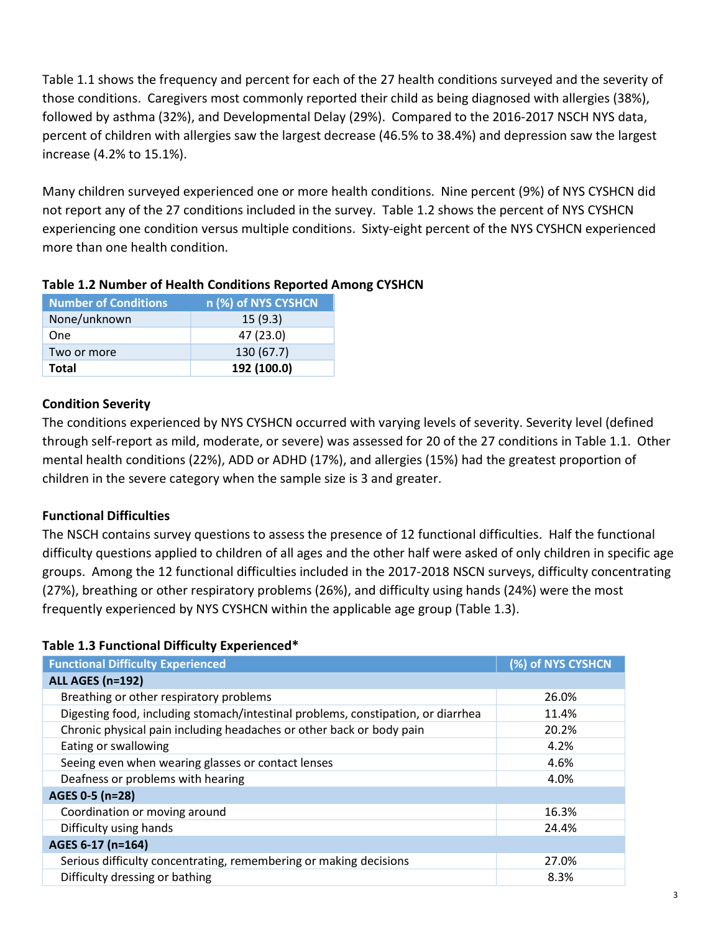Table 1.1 shows the frequency and percent for each of the 27 health conditions surveyed and the severity of those conditions. Caregivers most commonly reported their child as being diagnosed with allergies (38%), followed by asthma (32%), and Developmental Delay (29%). Compared to the 2016-2017 NSCH NYS data, percent of children with allergies saw the largest decrease (46.5% to 38.4%) and depression saw the largest increase (4.2% to 15.1%).

Many children surveyed experienced one or more health conditions. Nine percent (9%) of NYS CYSHCN did not report any of the 27 conditions included in the survey. Table 1.2 shows the percent of NYS CYSHCN experiencing one condition versus multiple conditions. Sixty-eight percent of the NYS CYSHCN experienced more than one health condition.

| <b>Number of Conditions</b> | n (%) of NYS CYSHCN |
|-----------------------------|---------------------|
| None/unknown                | 15(9.3)             |
| <b>One</b>                  | 47 (23.0)           |
| Two or more                 | 130 (67.7)          |
| Total                       | 192 (100.0)         |

## Table 1.2 Number of Health Conditions Reported Among CYSHCN

## Condition Severity

The conditions experienced by NYS CYSHCN occurred with varying levels of severity. Severity level (defined through self-report as mild, moderate, or severe) was assessed for 20 of the 27 conditions in Table 1.1. Other mental health conditions (22%), ADD or ADHD (17%), and allergies (15%) had the greatest proportion of children in the severe category when the sample size is 3 and greater.

## Functional Difficulties

The NSCH contains survey questions to assess the presence of 12 functional difficulties. Half the functional difficulty questions applied to children of all ages and the other half were asked of only children in specific age groups. Among the 12 functional difficulties included in the 2017-2018 NSCN surveys, difficulty concentrating (27%), breathing or other respiratory problems (26%), and difficulty using hands (24%) were the most frequently experienced by NYS CYSHCN within the applicable age group (Table 1.3).

## Table 1.3 Functional Difficulty Experienced\*

| <b>Functional Difficulty Experienced</b>                                         | (%) of NYS CYSHCN |
|----------------------------------------------------------------------------------|-------------------|
| <b>ALL AGES (n=192)</b>                                                          |                   |
| Breathing or other respiratory problems                                          | 26.0%             |
| Digesting food, including stomach/intestinal problems, constipation, or diarrhea | 11.4%             |
| Chronic physical pain including headaches or other back or body pain             | 20.2%             |
| Eating or swallowing                                                             | 4.2%              |
| Seeing even when wearing glasses or contact lenses                               | 4.6%              |
| Deafness or problems with hearing                                                | 4.0%              |
| AGES 0-5 (n=28)                                                                  |                   |
| Coordination or moving around                                                    | 16.3%             |
| Difficulty using hands                                                           | 24.4%             |
| AGES 6-17 (n=164)                                                                |                   |
| Serious difficulty concentrating, remembering or making decisions                | 27.0%             |
| Difficulty dressing or bathing                                                   | 8.3%              |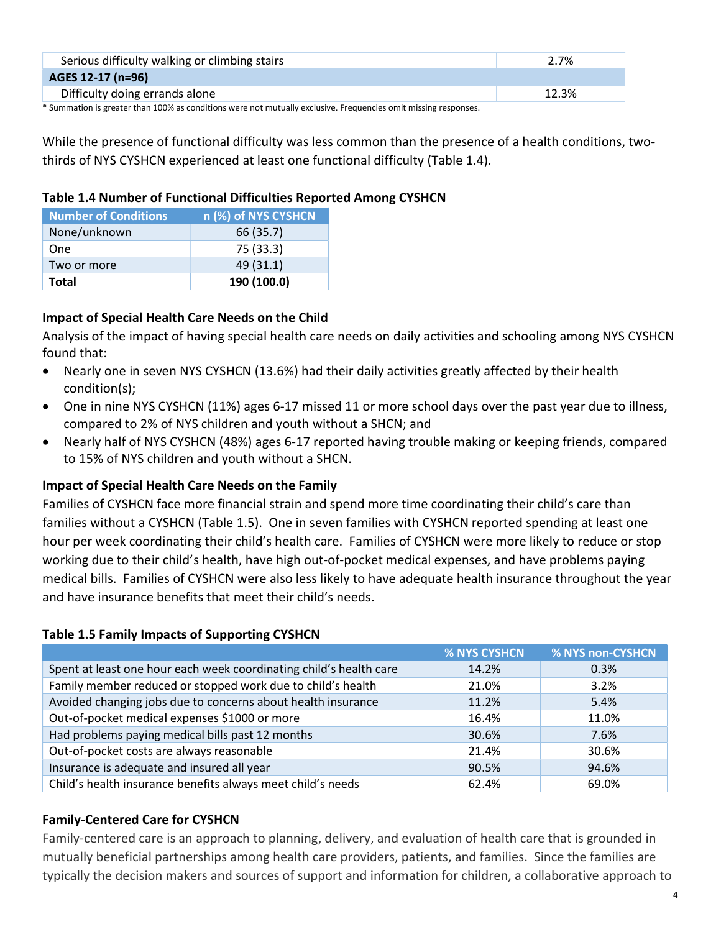| Serious difficulty walking or climbing stairs                                                                   | 2.7%  |
|-----------------------------------------------------------------------------------------------------------------|-------|
| AGES 12-17 (n=96)                                                                                               |       |
| Difficulty doing errands alone                                                                                  | 12.3% |
| * Summation is greater than 100% as conditions were not mutually exclusive. Frequencies omit missing responses. |       |

While the presence of functional difficulty was less common than the presence of a health conditions, twothirds of NYS CYSHCN experienced at least one functional difficulty (Table 1.4).

# Table 1.4 Number of Functional Difficulties Reported Among CYSHCN

| <b>Number of Conditions</b> | n (%) of NYS CYSHCN |
|-----------------------------|---------------------|
| None/unknown                | 66 (35.7)           |
| <b>One</b>                  | 75 (33.3)           |
| Two or more                 | 49(31.1)            |
| Total                       | 190 (100.0)         |

# Impact of Special Health Care Needs on the Child

Analysis of the impact of having special health care needs on daily activities and schooling among NYS CYSHCN found that:

- Nearly one in seven NYS CYSHCN (13.6%) had their daily activities greatly affected by their health condition(s);
- One in nine NYS CYSHCN (11%) ages 6-17 missed 11 or more school days over the past year due to illness, compared to 2% of NYS children and youth without a SHCN; and
- Nearly half of NYS CYSHCN (48%) ages 6-17 reported having trouble making or keeping friends, compared to 15% of NYS children and youth without a SHCN.

# Impact of Special Health Care Needs on the Family

Families of CYSHCN face more financial strain and spend more time coordinating their child's care than families without a CYSHCN (Table 1.5). One in seven families with CYSHCN reported spending at least one hour per week coordinating their child's health care. Families of CYSHCN were more likely to reduce or stop working due to their child's health, have high out-of-pocket medical expenses, and have problems paying medical bills. Families of CYSHCN were also less likely to have adequate health insurance throughout the year and have insurance benefits that meet their child's needs.

# Table 1.5 Family Impacts of Supporting CYSHCN

|                                                                    | % NYS CYSHCN | % NYS non-CYSHCN |
|--------------------------------------------------------------------|--------------|------------------|
| Spent at least one hour each week coordinating child's health care | 14.2%        | 0.3%             |
| Family member reduced or stopped work due to child's health        | 21.0%        | 3.2%             |
| Avoided changing jobs due to concerns about health insurance       | 11.2%        | 5.4%             |
| Out-of-pocket medical expenses \$1000 or more                      | 16.4%        | 11.0%            |
| Had problems paying medical bills past 12 months                   | 30.6%        | 7.6%             |
| Out-of-pocket costs are always reasonable                          | 21.4%        | 30.6%            |
| Insurance is adequate and insured all year                         | 90.5%        | 94.6%            |
| Child's health insurance benefits always meet child's needs        | 62.4%        | 69.0%            |

# Family-Centered Care for CYSHCN

Family-centered care is an approach to planning, delivery, and evaluation of health care that is grounded in mutually beneficial partnerships among health care providers, patients, and families. Since the families are typically the decision makers and sources of support and information for children, a collaborative approach to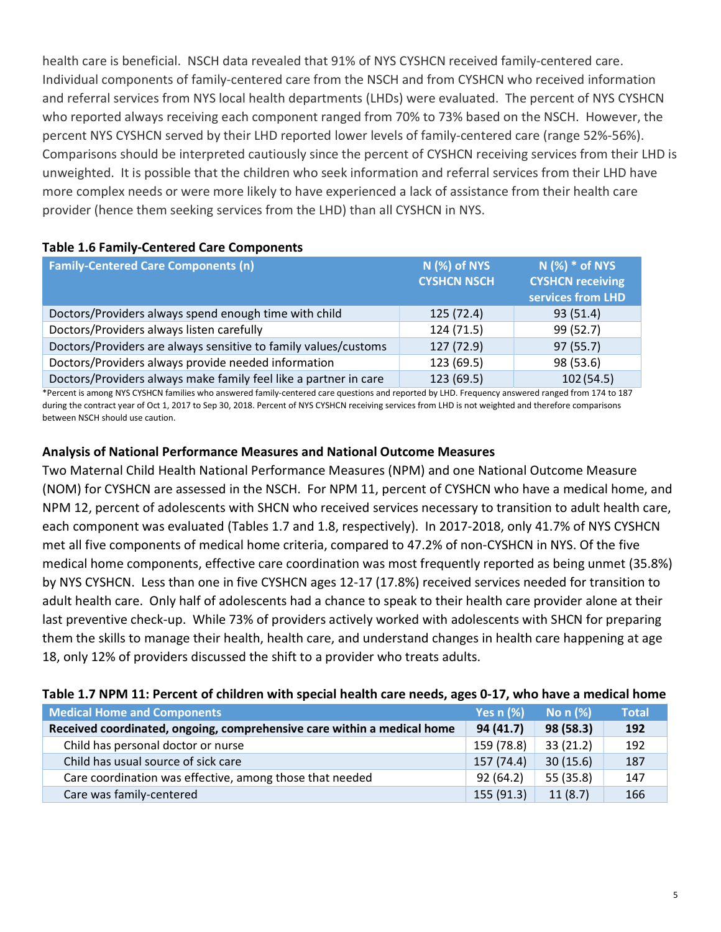health care is beneficial. NSCH data revealed that 91% of NYS CYSHCN received family-centered care. Individual components of family-centered care from the NSCH and from CYSHCN who received information and referral services from NYS local health departments (LHDs) were evaluated. The percent of NYS CYSHCN who reported always receiving each component ranged from 70% to 73% based on the NSCH. However, the percent NYS CYSHCN served by their LHD reported lower levels of family-centered care (range 52%-56%). Comparisons should be interpreted cautiously since the percent of CYSHCN receiving services from their LHD is unweighted. It is possible that the children who seek information and referral services from their LHD have more complex needs or were more likely to have experienced a lack of assistance from their health care provider (hence them seeking services from the LHD) than all CYSHCN in NYS.

| <b>Family-Centered Care Components (n)</b>                       | N (%) of NYS<br><b>CYSHCN NSCH</b> | $N$ (%) $*$ of NYS<br><b>CYSHCN receiving</b><br>services from LHD |
|------------------------------------------------------------------|------------------------------------|--------------------------------------------------------------------|
| Doctors/Providers always spend enough time with child            | 125 (72.4)                         | 93(51.4)                                                           |
| Doctors/Providers always listen carefully                        | 124 (71.5)                         | 99 (52.7)                                                          |
| Doctors/Providers are always sensitive to family values/customs  | 127(72.9)                          | 97(55.7)                                                           |
| Doctors/Providers always provide needed information              | 123 (69.5)                         | 98 (53.6)                                                          |
| Doctors/Providers always make family feel like a partner in care | 123 (69.5)                         | 102(54.5)                                                          |

## Table 1.6 Family-Centered Care Components

\*Percent is among NYS CYSHCN families who answered family-centered care questions and reported by LHD. Frequency answered ranged from 174 to 187 during the contract year of Oct 1, 2017 to Sep 30, 2018. Percent of NYS CYSHCN receiving services from LHD is not weighted and therefore comparisons between NSCH should use caution.

#### Analysis of National Performance Measures and National Outcome Measures

Two Maternal Child Health National Performance Measures (NPM) and one National Outcome Measure (NOM) for CYSHCN are assessed in the NSCH. For NPM 11, percent of CYSHCN who have a medical home, and NPM 12, percent of adolescents with SHCN who received services necessary to transition to adult health care, each component was evaluated (Tables 1.7 and 1.8, respectively). In 2017-2018, only 41.7% of NYS CYSHCN met all five components of medical home criteria, compared to 47.2% of non-CYSHCN in NYS. Of the five medical home components, effective care coordination was most frequently reported as being unmet (35.8%) by NYS CYSHCN. Less than one in five CYSHCN ages 12-17 (17.8%) received services needed for transition to adult health care. Only half of adolescents had a chance to speak to their health care provider alone at their last preventive check-up. While 73% of providers actively worked with adolescents with SHCN for preparing them the skills to manage their health, health care, and understand changes in health care happening at age 18, only 12% of providers discussed the shift to a provider who treats adults.

## Table 1.7 NPM 11: Percent of children with special health care needs, ages 0-17, who have a medical home

| Medical Home and Components                                             | Yes $n$ (%) | No n (%)  | <b>Total</b> |
|-------------------------------------------------------------------------|-------------|-----------|--------------|
| Received coordinated, ongoing, comprehensive care within a medical home | 94(41.7)    | 98 (58.3) | 192          |
| Child has personal doctor or nurse                                      | 159 (78.8)  | 33(21.2)  | 192          |
| Child has usual source of sick care                                     | 157(74.4)   | 30(15.6)  | 187          |
| Care coordination was effective, among those that needed                | 92(64.2)    | 55 (35.8) | 147          |
| Care was family-centered                                                | 155(91.3)   | 11(8.7)   | 166          |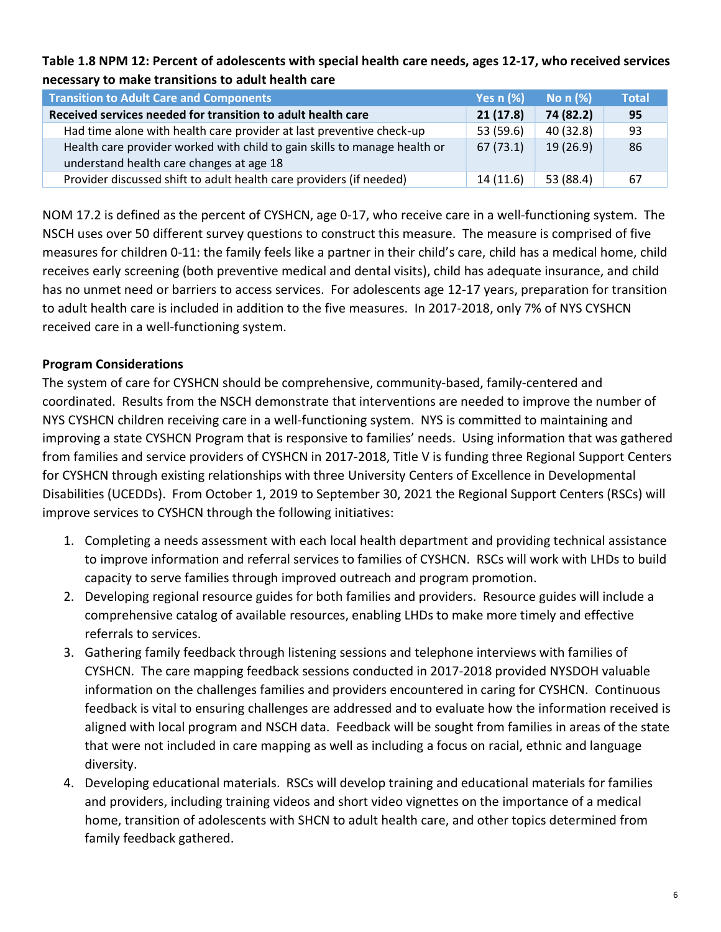## Table 1.8 NPM 12: Percent of adolescents with special health care needs, ages 12-17, who received services necessary to make transitions to adult health care

| <b>Transition to Adult Care and Components</b>                            | Yes $n$ $%$ | No $n$ $%$ | <b>Total</b> |
|---------------------------------------------------------------------------|-------------|------------|--------------|
| Received services needed for transition to adult health care              | 21(17.8)    | 74 (82.2)  | 95           |
| Had time alone with health care provider at last preventive check-up      | 53 (59.6)   | 40 (32.8)  | -93          |
| Health care provider worked with child to gain skills to manage health or | 67(73.1)    | 19(26.9)   | -86          |
| understand health care changes at age 18                                  |             |            |              |
| Provider discussed shift to adult health care providers (if needed)       | 14(11.6)    | 53 (88.4)  | 67           |

NOM 17.2 is defined as the percent of CYSHCN, age 0-17, who receive care in a well-functioning system. The NSCH uses over 50 different survey questions to construct this measure. The measure is comprised of five measures for children 0-11: the family feels like a partner in their child's care, child has a medical home, child receives early screening (both preventive medical and dental visits), child has adequate insurance, and child has no unmet need or barriers to access services. For adolescents age 12-17 years, preparation for transition to adult health care is included in addition to the five measures. In 2017-2018, only 7% of NYS CYSHCN received care in a well-functioning system.

# Program Considerations

The system of care for CYSHCN should be comprehensive, community-based, family-centered and coordinated. Results from the NSCH demonstrate that interventions are needed to improve the number of NYS CYSHCN children receiving care in a well-functioning system. NYS is committed to maintaining and improving a state CYSHCN Program that is responsive to families' needs. Using information that was gathered from families and service providers of CYSHCN in 2017-2018, Title V is funding three Regional Support Centers for CYSHCN through existing relationships with three University Centers of Excellence in Developmental Disabilities (UCEDDs). From October 1, 2019 to September 30, 2021 the Regional Support Centers (RSCs) will improve services to CYSHCN through the following initiatives:

- 1. Completing a needs assessment with each local health department and providing technical assistance to improve information and referral services to families of CYSHCN. RSCs will work with LHDs to build capacity to serve families through improved outreach and program promotion.
- 2. Developing regional resource guides for both families and providers. Resource guides will include a comprehensive catalog of available resources, enabling LHDs to make more timely and effective referrals to services.
- 3. Gathering family feedback through listening sessions and telephone interviews with families of CYSHCN. The care mapping feedback sessions conducted in 2017-2018 provided NYSDOH valuable information on the challenges families and providers encountered in caring for CYSHCN. Continuous feedback is vital to ensuring challenges are addressed and to evaluate how the information received is aligned with local program and NSCH data. Feedback will be sought from families in areas of the state that were not included in care mapping as well as including a focus on racial, ethnic and language diversity.
- 4. Developing educational materials. RSCs will develop training and educational materials for families and providers, including training videos and short video vignettes on the importance of a medical home, transition of adolescents with SHCN to adult health care, and other topics determined from family feedback gathered.